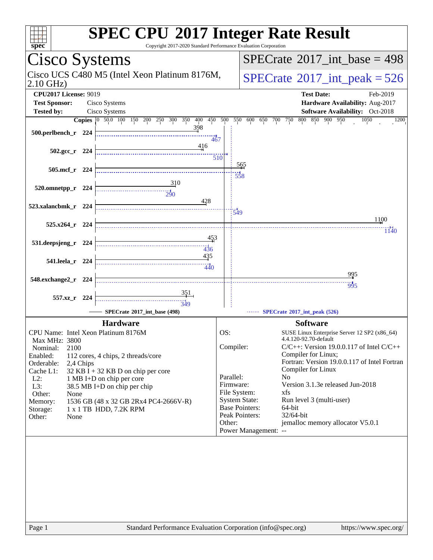| spec <sup>®</sup>                                            | <b>SPEC CPU®2017 Integer Rate Result</b><br>Copyright 2017-2020 Standard Performance Evaluation Corporation |                        |                                                                      |
|--------------------------------------------------------------|-------------------------------------------------------------------------------------------------------------|------------------------|----------------------------------------------------------------------|
| Cisco Systems                                                |                                                                                                             |                        | $SPECrate^{\circledast}2017$ int base = 498                          |
| Cisco UCS C480 M5 (Intel Xeon Platinum 8176M,<br>$2.10$ GHz) |                                                                                                             |                        | $SPECTate$ <sup>®</sup> 2017_int_peak = 526                          |
| <b>CPU2017 License: 9019</b><br><b>Test Sponsor:</b>         | Cisco Systems                                                                                               |                        | <b>Test Date:</b><br>Feb-2019<br>Hardware Availability: Aug-2017     |
| <b>Tested by:</b>                                            | Cisco Systems                                                                                               |                        | <b>Software Availability:</b> Oct-2018                               |
|                                                              | Copies 0 50.0 100 150 200 250 300 350 400 450 500                                                           |                        | 550<br>800 850 900 950<br>600<br>650<br>700<br>750<br>1050<br>1200   |
| 500.perlbench_r 224                                          | 398                                                                                                         | 467                    |                                                                      |
| $502.\text{gcc r}$ 224                                       | 416                                                                                                         | 510                    |                                                                      |
| 505.mcf r 224                                                | 310                                                                                                         |                        | <u>565</u><br>$\frac{1}{558}$                                        |
| 520.omnetpp_r 224                                            | $\frac{1}{290}$<br>428                                                                                      |                        |                                                                      |
| 523.xalancbmk_r 224<br>525.x264_r 224                        |                                                                                                             | 549                    | 1100                                                                 |
| 531.deepsjeng_r 224                                          | 453                                                                                                         |                        | 1140                                                                 |
| 541.leela_r 224                                              | 436<br>435                                                                                                  |                        |                                                                      |
| 548.exchange2_r<br>- 224                                     | $\frac{1}{440}$                                                                                             |                        | 995<br>$\frac{11}{995}$                                              |
| 557.xz_r 224                                                 | $\frac{11}{349}$                                                                                            |                        |                                                                      |
|                                                              | SPECrate®2017_int_base (498)                                                                                |                        | SPECrate®2017_int_peak (526)                                         |
|                                                              | <b>Hardware</b>                                                                                             |                        | <b>Software</b>                                                      |
| CPU Name: Intel Xeon Platinum 8176M                          |                                                                                                             | OS:                    | SUSE Linux Enterprise Server 12 SP2 (x86_64)                         |
| <b>Max MHz: 3800</b>                                         |                                                                                                             |                        | 4.4.120-92.70-default                                                |
| 2100<br>Nominal:                                             |                                                                                                             | Compiler:              | $C/C++$ : Version 19.0.0.117 of Intel $C/C++$<br>Compiler for Linux; |
| Enabled:<br>Orderable:<br>2,4 Chips                          | 112 cores, 4 chips, 2 threads/core                                                                          |                        | Fortran: Version 19.0.0.117 of Intel Fortran                         |
| Cache L1:                                                    | $32$ KB I + 32 KB D on chip per core                                                                        |                        | Compiler for Linux                                                   |
| $L2$ :                                                       | 1 MB I+D on chip per core                                                                                   | Parallel:<br>Firmware: | N <sub>0</sub><br>Version 3.1.3e released Jun-2018                   |
| L3:<br>Other:<br>None                                        | 38.5 MB I+D on chip per chip                                                                                | File System:           | xfs                                                                  |
| Memory:                                                      | 1536 GB (48 x 32 GB 2Rx4 PC4-2666V-R)                                                                       |                        | <b>System State:</b><br>Run level 3 (multi-user)                     |
| Storage:                                                     | 1 x 1 TB HDD, 7.2K RPM                                                                                      |                        | <b>Base Pointers:</b><br>64-bit                                      |
| Other:<br>None                                               |                                                                                                             | Other:                 | Peak Pointers:<br>32/64-bit<br>jemalloc memory allocator V5.0.1      |
|                                                              |                                                                                                             |                        | Power Management: --                                                 |
|                                                              |                                                                                                             |                        |                                                                      |
|                                                              |                                                                                                             |                        |                                                                      |
|                                                              |                                                                                                             |                        |                                                                      |
|                                                              |                                                                                                             |                        |                                                                      |
|                                                              |                                                                                                             |                        |                                                                      |
|                                                              |                                                                                                             |                        |                                                                      |
|                                                              |                                                                                                             |                        |                                                                      |
|                                                              |                                                                                                             |                        |                                                                      |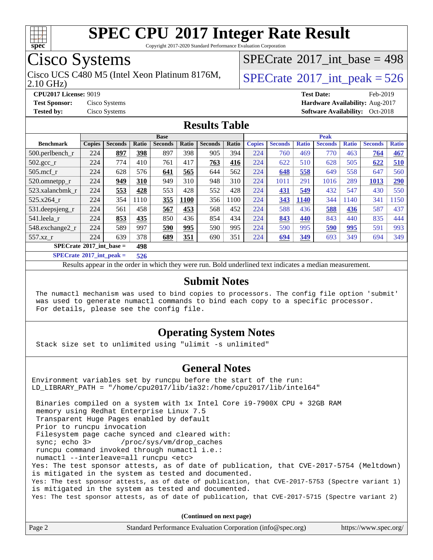

Copyright 2017-2020 Standard Performance Evaluation Corporation

# Cisco Systems

Cisco UCS C480 M5 (Intel Xeon Platinum 8176M,  $\vert$  [SPECrate](http://www.spec.org/auto/cpu2017/Docs/result-fields.html#SPECrate2017intpeak) [2017\\_int\\_peak = 5](http://www.spec.org/auto/cpu2017/Docs/result-fields.html#SPECrate2017intpeak)26

 $SPECrate$ <sup>®</sup>[2017\\_int\\_base =](http://www.spec.org/auto/cpu2017/Docs/result-fields.html#SPECrate2017intbase) 498

2.10 GHz)

**[CPU2017 License:](http://www.spec.org/auto/cpu2017/Docs/result-fields.html#CPU2017License)** 9019 **[Test Date:](http://www.spec.org/auto/cpu2017/Docs/result-fields.html#TestDate)** Feb-2019

**[Test Sponsor:](http://www.spec.org/auto/cpu2017/Docs/result-fields.html#TestSponsor)** Cisco Systems **[Hardware Availability:](http://www.spec.org/auto/cpu2017/Docs/result-fields.html#HardwareAvailability)** Aug-2017 **[Tested by:](http://www.spec.org/auto/cpu2017/Docs/result-fields.html#Testedby)** Cisco Systems **Cisco Systems [Software Availability:](http://www.spec.org/auto/cpu2017/Docs/result-fields.html#SoftwareAvailability)** Oct-2018

### **[Results Table](http://www.spec.org/auto/cpu2017/Docs/result-fields.html#ResultsTable)**

|                               |                                          |                |              | <b>Base</b>    |       |                |       |               |                |              | <b>Peak</b>    |              |                |              |
|-------------------------------|------------------------------------------|----------------|--------------|----------------|-------|----------------|-------|---------------|----------------|--------------|----------------|--------------|----------------|--------------|
| <b>Benchmark</b>              | <b>Copies</b>                            | <b>Seconds</b> | <b>Ratio</b> | <b>Seconds</b> | Ratio | <b>Seconds</b> | Ratio | <b>Copies</b> | <b>Seconds</b> | <b>Ratio</b> | <b>Seconds</b> | <b>Ratio</b> | <b>Seconds</b> | <b>Ratio</b> |
| $500.$ perlbench_r            | 224                                      | 897            | 398          | 897            | 398   | 905            | 394   | 224           | 760            | 469          | 770            | 463          | 764            | 467          |
| 502.gcc_r                     | 224                                      | 774            | 410          | 761            | 417   | 763            | 416   | 224           | 622            | 510          | 628            | 505          | 622            | 510          |
| $505$ .mcf r                  | 224                                      | 628            | 576          | 641            | 565   | 644            | 562   | 224           | 648            | 558          | 649            | 558          | 647            | 560          |
| 520.omnetpp_r                 | 224                                      | 949            | 310          | 949            | 310   | 948            | 310   | 224           | 1011           | 291          | 1016           | 289          | 1013           | <b>290</b>   |
| 523.xalancbmk r               | 224                                      | 553            | 428          | 553            | 428   | 552            | 428   | 224           | 431            | 549          | 432            | 547          | 430            | 550          |
| 525.x264 r                    | 224                                      | 354            | 1110         | 355            | 1100  | 356            | 1100  | 224           | 343            | 1140         | 344            | 140          | 341            | 1150         |
| $531.$ deepsjeng $_r$         | 224                                      | 561            | 458          | 567            | 453   | 568            | 452   | 224           | 588            | 436          | 588            | 436          | 587            | 437          |
| 541.leela r                   | 224                                      | 853            | 435          | 850            | 436   | 854            | 434   | 224           | 843            | 440          | 843            | 440          | 835            | 444          |
| 548.exchange2_r               | 224                                      | 589            | 997          | 590            | 995   | 590            | 995   | 224           | 590            | 995          | 590            | 995          | 591            | 993          |
| 557.xz                        | 224                                      | 639            | 378          | 689            | 351   | 690            | 351   | 224           | 694            | 349          | 693            | 349          | 694            | 349          |
|                               | $SPECrate^{\circ}2017$ int base =<br>498 |                |              |                |       |                |       |               |                |              |                |              |                |              |
| $CDDLO \rightarrow SAAAB + I$ |                                          | . .            | ---          |                |       |                |       |               |                |              |                |              |                |              |

**[SPECrate](http://www.spec.org/auto/cpu2017/Docs/result-fields.html#SPECrate2017intpeak)[2017\\_int\\_peak =](http://www.spec.org/auto/cpu2017/Docs/result-fields.html#SPECrate2017intpeak) 526**

Results appear in the [order in which they were run](http://www.spec.org/auto/cpu2017/Docs/result-fields.html#RunOrder). Bold underlined text [indicates a median measurement](http://www.spec.org/auto/cpu2017/Docs/result-fields.html#Median).

#### **[Submit Notes](http://www.spec.org/auto/cpu2017/Docs/result-fields.html#SubmitNotes)**

 The numactl mechanism was used to bind copies to processors. The config file option 'submit' was used to generate numactl commands to bind each copy to a specific processor. For details, please see the config file.

### **[Operating System Notes](http://www.spec.org/auto/cpu2017/Docs/result-fields.html#OperatingSystemNotes)**

Stack size set to unlimited using "ulimit -s unlimited"

#### **[General Notes](http://www.spec.org/auto/cpu2017/Docs/result-fields.html#GeneralNotes)**

Environment variables set by runcpu before the start of the run: LD\_LIBRARY\_PATH = "/home/cpu2017/lib/ia32:/home/cpu2017/lib/intel64" Binaries compiled on a system with 1x Intel Core i9-7900X CPU + 32GB RAM memory using Redhat Enterprise Linux 7.5 Transparent Huge Pages enabled by default Prior to runcpu invocation Filesystem page cache synced and cleared with: sync; echo 3> /proc/sys/vm/drop\_caches runcpu command invoked through numactl i.e.: numactl --interleave=all runcpu <etc> Yes: The test sponsor attests, as of date of publication, that CVE-2017-5754 (Meltdown) is mitigated in the system as tested and documented. Yes: The test sponsor attests, as of date of publication, that CVE-2017-5753 (Spectre variant 1) is mitigated in the system as tested and documented. Yes: The test sponsor attests, as of date of publication, that CVE-2017-5715 (Spectre variant 2)

**(Continued on next page)**

| Page 2 | Standard Performance Evaluation Corporation (info@spec.org) | https://www.spec.org/ |
|--------|-------------------------------------------------------------|-----------------------|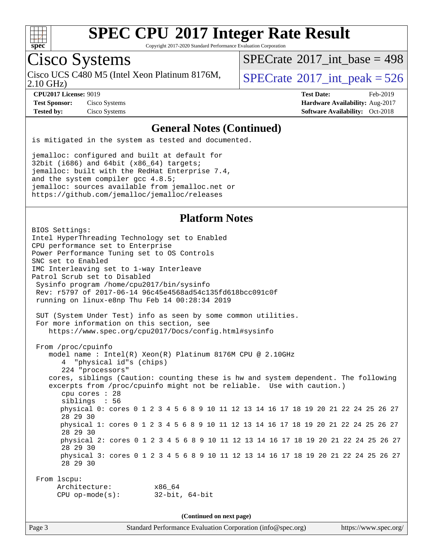

Copyright 2017-2020 Standard Performance Evaluation Corporation

# Cisco Systems

Cisco UCS C480 M5 (Intel Xeon Platinum 8176M,<br>2.10 GHz)

 $SPECTate$ <sup>®</sup>[2017\\_int\\_base =](http://www.spec.org/auto/cpu2017/Docs/result-fields.html#SPECrate2017intbase) 498

 $SPECTate$ <sup>®</sup>[2017\\_int\\_peak = 5](http://www.spec.org/auto/cpu2017/Docs/result-fields.html#SPECrate2017intpeak)26

**[Test Sponsor:](http://www.spec.org/auto/cpu2017/Docs/result-fields.html#TestSponsor)** Cisco Systems **[Hardware Availability:](http://www.spec.org/auto/cpu2017/Docs/result-fields.html#HardwareAvailability)** Aug-2017

**[CPU2017 License:](http://www.spec.org/auto/cpu2017/Docs/result-fields.html#CPU2017License)** 9019 **[Test Date:](http://www.spec.org/auto/cpu2017/Docs/result-fields.html#TestDate)** Feb-2019 **[Tested by:](http://www.spec.org/auto/cpu2017/Docs/result-fields.html#Testedby)** Cisco Systems **[Software Availability:](http://www.spec.org/auto/cpu2017/Docs/result-fields.html#SoftwareAvailability)** Oct-2018

#### **[General Notes \(Continued\)](http://www.spec.org/auto/cpu2017/Docs/result-fields.html#GeneralNotes)**

is mitigated in the system as tested and documented.

jemalloc: configured and built at default for 32bit (i686) and 64bit (x86\_64) targets; jemalloc: built with the RedHat Enterprise 7.4, and the system compiler gcc 4.8.5; jemalloc: sources available from jemalloc.net or <https://github.com/jemalloc/jemalloc/releases>

### **[Platform Notes](http://www.spec.org/auto/cpu2017/Docs/result-fields.html#PlatformNotes)**

BIOS Settings: Intel HyperThreading Technology set to Enabled CPU performance set to Enterprise Power Performance Tuning set to OS Controls SNC set to Enabled IMC Interleaving set to 1-way Interleave Patrol Scrub set to Disabled Sysinfo program /home/cpu2017/bin/sysinfo Rev: r5797 of 2017-06-14 96c45e4568ad54c135fd618bcc091c0f running on linux-e8np Thu Feb 14 00:28:34 2019 SUT (System Under Test) info as seen by some common utilities. For more information on this section, see <https://www.spec.org/cpu2017/Docs/config.html#sysinfo> From /proc/cpuinfo model name : Intel(R) Xeon(R) Platinum 8176M CPU @ 2.10GHz 4 "physical id"s (chips) 224 "processors" cores, siblings (Caution: counting these is hw and system dependent. The following excerpts from /proc/cpuinfo might not be reliable. Use with caution.) cpu cores : 28 siblings : 56 physical 0: cores 0 1 2 3 4 5 6 8 9 10 11 12 13 14 16 17 18 19 20 21 22 24 25 26 27 28 29 30 physical 1: cores 0 1 2 3 4 5 6 8 9 10 11 12 13 14 16 17 18 19 20 21 22 24 25 26 27 28 29 30 physical 2: cores 0 1 2 3 4 5 6 8 9 10 11 12 13 14 16 17 18 19 20 21 22 24 25 26 27 28 29 30 physical 3: cores 0 1 2 3 4 5 6 8 9 10 11 12 13 14 16 17 18 19 20 21 22 24 25 26 27 28 29 30 From lscpu: Architecture: x86\_64 CPU op-mode(s): 32-bit, 64-bit **(Continued on next page)**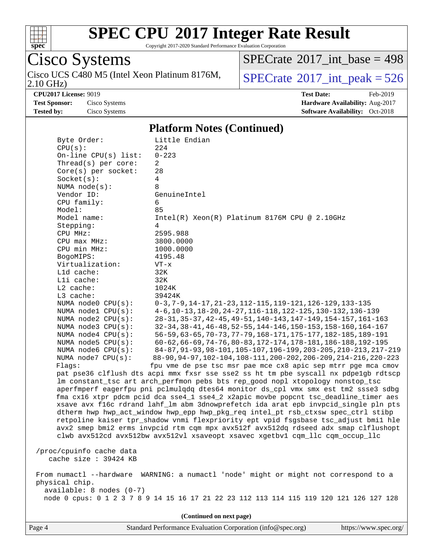

Copyright 2017-2020 Standard Performance Evaluation Corporation

Cisco Systems

2.10 GHz) Cisco UCS C480 M5 (Intel Xeon Platinum 8176M,  $SPECrate^{\circ}2017\_int\_peak = 526$  $SPECrate^{\circ}2017\_int\_peak = 526$ 

 $SPECrate$ <sup>®</sup>[2017\\_int\\_base =](http://www.spec.org/auto/cpu2017/Docs/result-fields.html#SPECrate2017intbase) 498

**[CPU2017 License:](http://www.spec.org/auto/cpu2017/Docs/result-fields.html#CPU2017License)** 9019 **[Test Date:](http://www.spec.org/auto/cpu2017/Docs/result-fields.html#TestDate)** Feb-2019 **[Test Sponsor:](http://www.spec.org/auto/cpu2017/Docs/result-fields.html#TestSponsor)** Cisco Systems **[Hardware Availability:](http://www.spec.org/auto/cpu2017/Docs/result-fields.html#HardwareAvailability)** Aug-2017 **[Tested by:](http://www.spec.org/auto/cpu2017/Docs/result-fields.html#Testedby)** Cisco Systems **[Software Availability:](http://www.spec.org/auto/cpu2017/Docs/result-fields.html#SoftwareAvailability)** Oct-2018

#### **[Platform Notes \(Continued\)](http://www.spec.org/auto/cpu2017/Docs/result-fields.html#PlatformNotes)**

| Byte Order:                | Little Endian                                                                           |  |  |  |  |
|----------------------------|-----------------------------------------------------------------------------------------|--|--|--|--|
| CPU(s):                    | 224                                                                                     |  |  |  |  |
| On-line $CPU(s)$ list:     | $0 - 223$                                                                               |  |  |  |  |
| Thread( $s$ ) per core:    | 2                                                                                       |  |  |  |  |
| $Core(s)$ per socket:      | 28                                                                                      |  |  |  |  |
| Socket(s):                 | $\overline{4}$                                                                          |  |  |  |  |
| NUMA $node(s):$            | 8                                                                                       |  |  |  |  |
| Vendor ID:                 | GenuineIntel                                                                            |  |  |  |  |
| CPU family:                | 6                                                                                       |  |  |  |  |
| Model:                     | 85                                                                                      |  |  |  |  |
| Model name:                | Intel(R) Xeon(R) Platinum 8176M CPU @ 2.10GHz                                           |  |  |  |  |
| Stepping:                  | 4                                                                                       |  |  |  |  |
| CPU MHz:                   | 2595.988                                                                                |  |  |  |  |
| CPU max MHz:               | 3800.0000                                                                               |  |  |  |  |
| CPU min MHz:               | 1000.0000                                                                               |  |  |  |  |
| BogoMIPS:                  | 4195.48                                                                                 |  |  |  |  |
| Virtualization:            | $VT - x$                                                                                |  |  |  |  |
| Lld cache:                 | 32K                                                                                     |  |  |  |  |
| Lli cache:                 | 32K                                                                                     |  |  |  |  |
| $L2$ cache:                | 1024K                                                                                   |  |  |  |  |
| L3 cache:                  | 39424K                                                                                  |  |  |  |  |
| NUMA node0 CPU(s):         | $0-3, 7-9, 14-17, 21-23, 112-115, 119-121, 126-129, 133-135$                            |  |  |  |  |
| NUMA nodel CPU(s):         | 4-6, 10-13, 18-20, 24-27, 116-118, 122-125, 130-132, 136-139                            |  |  |  |  |
| NUMA $node2$ $CPU(s):$     | 28-31, 35-37, 42-45, 49-51, 140-143, 147-149, 154-157, 161-163                          |  |  |  |  |
| NUMA node3 CPU(s):         | 32-34, 38-41, 46-48, 52-55, 144-146, 150-153, 158-160, 164-167                          |  |  |  |  |
| NUMA node4 CPU(s):         | 56-59, 63-65, 70-73, 77-79, 168-171, 175-177, 182-185, 189-191                          |  |  |  |  |
|                            |                                                                                         |  |  |  |  |
| NUMA $node5$ CPU $(s)$ :   | $60 - 62, 66 - 69, 74 - 76, 80 - 83, 172 - 174, 178 - 181, 186 - 188, 192 - 195$        |  |  |  |  |
| NUMA node6 CPU(s):         | 84-87, 91-93, 98-101, 105-107, 196-199, 203-205, 210-213, 217-219                       |  |  |  |  |
| NUMA node7 CPU(s):         | 88-90, 94-97, 102-104, 108-111, 200-202, 206-209, 214-216, 220-223                      |  |  |  |  |
| Flagg:                     | fpu vme de pse tsc msr pae mce cx8 apic sep mtrr pge mca cmov                           |  |  |  |  |
|                            | pat pse36 clflush dts acpi mmx fxsr sse sse2 ss ht tm pbe syscall nx pdpe1gb rdtscp     |  |  |  |  |
|                            | lm constant_tsc art arch_perfmon pebs bts rep_good nopl xtopology nonstop_tsc           |  |  |  |  |
|                            | aperfmperf eagerfpu pni pclmulqdq dtes64 monitor ds_cpl vmx smx est tm2 ssse3 sdbg      |  |  |  |  |
|                            | fma cx16 xtpr pdcm pcid dca sse4_1 sse4_2 x2apic movbe popcnt tsc_deadline_timer aes    |  |  |  |  |
|                            | xsave avx f16c rdrand lahf_lm abm 3dnowprefetch ida arat epb invpcid_single pln pts     |  |  |  |  |
|                            | dtherm hwp hwp_act_window hwp_epp hwp_pkg_req intel_pt rsb_ctxsw spec_ctrl stibp        |  |  |  |  |
|                            | retpoline kaiser tpr_shadow vnmi flexpriority ept vpid fsgsbase tsc_adjust bmil hle     |  |  |  |  |
|                            | avx2 smep bmi2 erms invpcid rtm cqm mpx avx512f avx512dq rdseed adx smap clflushopt     |  |  |  |  |
|                            | clwb avx512cd avx512bw avx512vl xsaveopt xsavec xgetbvl cqm_llc cqm_occup_llc           |  |  |  |  |
|                            |                                                                                         |  |  |  |  |
| /proc/cpuinfo cache data   |                                                                                         |  |  |  |  |
| cache size : 39424 KB      |                                                                                         |  |  |  |  |
|                            |                                                                                         |  |  |  |  |
|                            | From numactl --hardware WARNING: a numactl 'node' might or might not correspond to a    |  |  |  |  |
| physical chip.             |                                                                                         |  |  |  |  |
| $available: 8 nodes (0-7)$ |                                                                                         |  |  |  |  |
|                            | node 0 cpus: 0 1 2 3 7 8 9 14 15 16 17 21 22 23 112 113 114 115 119 120 121 126 127 128 |  |  |  |  |
|                            |                                                                                         |  |  |  |  |
|                            |                                                                                         |  |  |  |  |

**(Continued on next page)**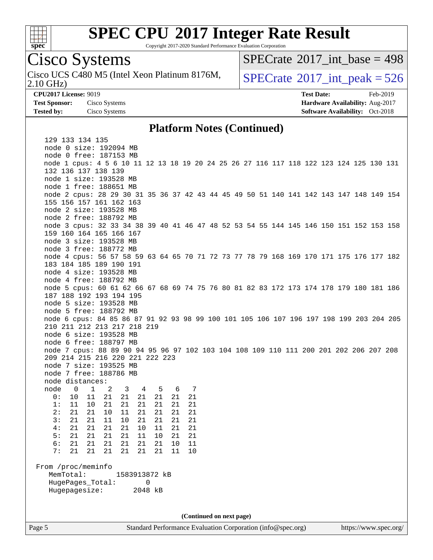

Copyright 2017-2020 Standard Performance Evaluation Corporation

# Cisco Systems

2.10 GHz) Cisco UCS C480 M5 (Intel Xeon Platinum 8176M,  $SPECrate^{\circ}2017\_int\_peak = 526$  $SPECrate^{\circ}2017\_int\_peak = 526$ 

 $SPECTate$ <sup>®</sup>[2017\\_int\\_base =](http://www.spec.org/auto/cpu2017/Docs/result-fields.html#SPECrate2017intbase) 498

**[CPU2017 License:](http://www.spec.org/auto/cpu2017/Docs/result-fields.html#CPU2017License)** 9019 **[Test Date:](http://www.spec.org/auto/cpu2017/Docs/result-fields.html#TestDate)** Feb-2019 **[Test Sponsor:](http://www.spec.org/auto/cpu2017/Docs/result-fields.html#TestSponsor)** Cisco Systems **[Hardware Availability:](http://www.spec.org/auto/cpu2017/Docs/result-fields.html#HardwareAvailability)** Aug-2017 **[Tested by:](http://www.spec.org/auto/cpu2017/Docs/result-fields.html#Testedby)** Cisco Systems **Cisco Systems [Software Availability:](http://www.spec.org/auto/cpu2017/Docs/result-fields.html#SoftwareAvailability)** Oct-2018

#### **[Platform Notes \(Continued\)](http://www.spec.org/auto/cpu2017/Docs/result-fields.html#PlatformNotes)**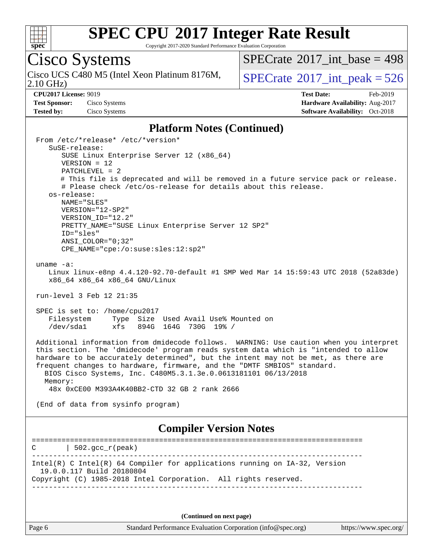

Copyright 2017-2020 Standard Performance Evaluation Corporation

# Cisco Systems

2.10 GHz) Cisco UCS C480 M5 (Intel Xeon Platinum 8176M,  $SPECrate^{\circ}2017\_int\_peak = 526$  $SPECrate^{\circ}2017\_int\_peak = 526$ 

 $SPECrate$ <sup>®</sup>[2017\\_int\\_base =](http://www.spec.org/auto/cpu2017/Docs/result-fields.html#SPECrate2017intbase) 498

**[CPU2017 License:](http://www.spec.org/auto/cpu2017/Docs/result-fields.html#CPU2017License)** 9019 **[Test Date:](http://www.spec.org/auto/cpu2017/Docs/result-fields.html#TestDate)** Feb-2019 **[Test Sponsor:](http://www.spec.org/auto/cpu2017/Docs/result-fields.html#TestSponsor)** Cisco Systems **[Hardware Availability:](http://www.spec.org/auto/cpu2017/Docs/result-fields.html#HardwareAvailability)** Aug-2017 **[Tested by:](http://www.spec.org/auto/cpu2017/Docs/result-fields.html#Testedby)** Cisco Systems **Cisco Systems [Software Availability:](http://www.spec.org/auto/cpu2017/Docs/result-fields.html#SoftwareAvailability)** Oct-2018

#### **[Platform Notes \(Continued\)](http://www.spec.org/auto/cpu2017/Docs/result-fields.html#PlatformNotes)**

 From /etc/\*release\* /etc/\*version\* SuSE-release: SUSE Linux Enterprise Server 12 (x86\_64) VERSION = 12 PATCHLEVEL = 2 # This file is deprecated and will be removed in a future service pack or release. # Please check /etc/os-release for details about this release. os-release: NAME="SLES" VERSION="12-SP2" VERSION\_ID="12.2" PRETTY NAME="SUSE Linux Enterprise Server 12 SP2" ID="sles" ANSI\_COLOR="0;32" CPE\_NAME="cpe:/o:suse:sles:12:sp2" uname -a: Linux linux-e8np 4.4.120-92.70-default #1 SMP Wed Mar 14 15:59:43 UTC 2018 (52a83de) x86\_64 x86\_64 x86\_64 GNU/Linux run-level 3 Feb 12 21:35 SPEC is set to: /home/cpu2017 Filesystem Type Size Used Avail Use% Mounted on /dev/sda1 xfs 894G 164G 730G 19% / Additional information from dmidecode follows. WARNING: Use caution when you interpret this section. The 'dmidecode' program reads system data which is "intended to allow hardware to be accurately determined", but the intent may not be met, as there are frequent changes to hardware, firmware, and the "DMTF SMBIOS" standard. BIOS Cisco Systems, Inc. C480M5.3.1.3e.0.0613181101 06/13/2018 Memory: 48x 0xCE00 M393A4K40BB2-CTD 32 GB 2 rank 2666 (End of data from sysinfo program) **[Compiler Version Notes](http://www.spec.org/auto/cpu2017/Docs/result-fields.html#CompilerVersionNotes)** ==============================================================================  $C \qquad | \quad 502.\text{gcc\_r}(\text{peak})$ ------------------------------------------------------------------------------ Intel(R) C Intel(R) 64 Compiler for applications running on IA-32, Version 19.0.0.117 Build 20180804 Copyright (C) 1985-2018 Intel Corporation. All rights reserved. ------------------------------------------------------------------------------ **(Continued on next page)**

Page 6 Standard Performance Evaluation Corporation [\(info@spec.org\)](mailto:info@spec.org) <https://www.spec.org/>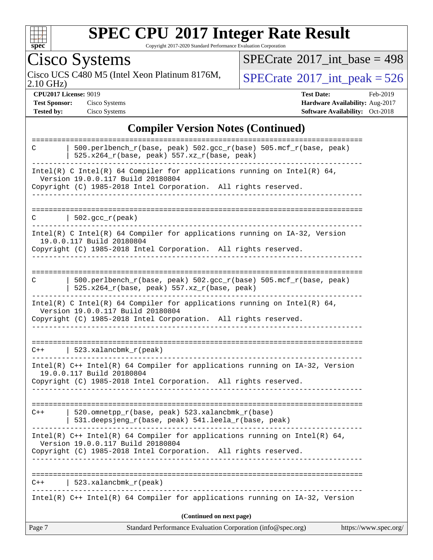

Copyright 2017-2020 Standard Performance Evaluation Corporation

Cisco Systems<br>Cisco UCS C480 M5 (Intel Xeon Platinum 8176M, 2.10 GHz)

 $SPECrate$ <sup>®</sup>[2017\\_int\\_base =](http://www.spec.org/auto/cpu2017/Docs/result-fields.html#SPECrate2017intbase) 498

 $SPECTate$ <sup>®</sup>[2017\\_int\\_peak = 5](http://www.spec.org/auto/cpu2017/Docs/result-fields.html#SPECrate2017intpeak)26

**[CPU2017 License:](http://www.spec.org/auto/cpu2017/Docs/result-fields.html#CPU2017License)** 9019 **[Test Date:](http://www.spec.org/auto/cpu2017/Docs/result-fields.html#TestDate)** Feb-2019 **[Test Sponsor:](http://www.spec.org/auto/cpu2017/Docs/result-fields.html#TestSponsor)** Cisco Systems **[Hardware Availability:](http://www.spec.org/auto/cpu2017/Docs/result-fields.html#HardwareAvailability)** Aug-2017 **[Tested by:](http://www.spec.org/auto/cpu2017/Docs/result-fields.html#Testedby)** Cisco Systems **[Software Availability:](http://www.spec.org/auto/cpu2017/Docs/result-fields.html#SoftwareAvailability)** Oct-2018

#### **[Compiler Version Notes \(Continued\)](http://www.spec.org/auto/cpu2017/Docs/result-fields.html#CompilerVersionNotes)**

| Page 7 | Standard Performance Evaluation Corporation (info@spec.org)                                                                                                                                                             | https://www.spec.org/ |
|--------|-------------------------------------------------------------------------------------------------------------------------------------------------------------------------------------------------------------------------|-----------------------|
|        | (Continued on next page)                                                                                                                                                                                                |                       |
|        | Intel(R) $C++$ Intel(R) 64 Compiler for applications running on IA-32, Version                                                                                                                                          |                       |
| C++    | 523.xalancbmk_r(peak)                                                                                                                                                                                                   |                       |
|        |                                                                                                                                                                                                                         |                       |
|        | Intel(R) $C++$ Intel(R) 64 Compiler for applications running on Intel(R) 64,<br>Version 19.0.0.117 Build 20180804<br>Copyright (C) 1985-2018 Intel Corporation. All rights reserved.                                    |                       |
| $C++$  | 520.omnetpp_r(base, peak) 523.xalancbmk_r(base)<br>531.deepsjeng_r(base, peak) 541.leela_r(base, peak)                                                                                                                  |                       |
|        | Intel(R) C++ Intel(R) 64 Compiler for applications running on IA-32, Version<br>19.0.0.117 Build 20180804<br>Copyright (C) 1985-2018 Intel Corporation. All rights reserved.                                            |                       |
|        | $C++$   523.xalancbmk_r(peak)<br>________________________                                                                                                                                                               |                       |
|        | Intel(R) C Intel(R) 64 Compiler for applications running on Intel(R) 64,<br>Version 19.0.0.117 Build 20180804<br>Copyright (C) 1985-2018 Intel Corporation. All rights reserved.                                        |                       |
| C      | 500.perlbench_r(base, peak) 502.gcc_r(base) 505.mcf_r(base, peak)<br>$525.x264_r(base, peak) 557.xz_r(base, peak)$                                                                                                      |                       |
|        | $Intel(R)$ C Intel(R) 64 Compiler for applications running on $IA-32$ , Version<br>19.0.0.117 Build 20180804<br>Copyright (C) 1985-2018 Intel Corporation. All rights reserved.<br>------------------------             |                       |
| C      | 502.gcc_r(peak)<br>_____________________                                                                                                                                                                                |                       |
|        | Intel(R) C Intel(R) 64 Compiler for applications running on Intel(R) 64,<br>Version 19.0.0.117 Build 20180804<br>Copyright (C) 1985-2018 Intel Corporation. All rights reserved.<br><u>u dia dia dia dia dia dia 40</u> |                       |
|        | $525.x264_r(base, peak) 557.xz_r(base, peak)$                                                                                                                                                                           |                       |
| C      | $500. perlbench_r(base, peak) 502. gcc_r(base) 505. mcf_r(base, peak)$                                                                                                                                                  |                       |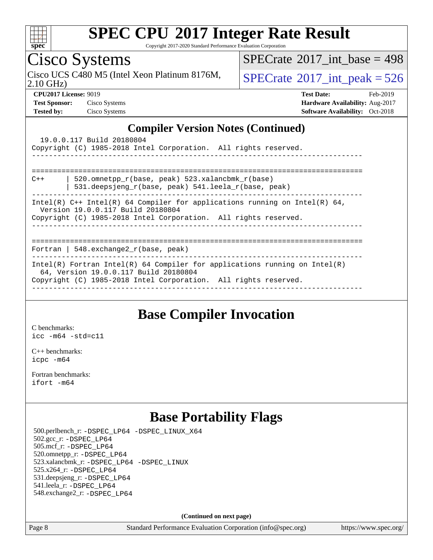

Copyright 2017-2020 Standard Performance Evaluation Corporation

Cisco Systems

2.10 GHz) Cisco UCS C480 M5 (Intel Xeon Platinum 8176M,  $SPECrate^{\circ}2017\_int\_peak = 526$  $SPECrate^{\circ}2017\_int\_peak = 526$ 

 $SPECTate@2017_int\_base = 498$ 

**[CPU2017 License:](http://www.spec.org/auto/cpu2017/Docs/result-fields.html#CPU2017License)** 9019 **[Test Date:](http://www.spec.org/auto/cpu2017/Docs/result-fields.html#TestDate)** Feb-2019 **[Test Sponsor:](http://www.spec.org/auto/cpu2017/Docs/result-fields.html#TestSponsor)** Cisco Systems **[Hardware Availability:](http://www.spec.org/auto/cpu2017/Docs/result-fields.html#HardwareAvailability)** Aug-2017 **[Tested by:](http://www.spec.org/auto/cpu2017/Docs/result-fields.html#Testedby)** Cisco Systems **[Software Availability:](http://www.spec.org/auto/cpu2017/Docs/result-fields.html#SoftwareAvailability)** Oct-2018

### **[Compiler Version Notes \(Continued\)](http://www.spec.org/auto/cpu2017/Docs/result-fields.html#CompilerVersionNotes)**

| 19.0.0.117 Build 20180804<br>Copyright (C) 1985-2018 Intel Corporation. All rights reserved.                                                                                           |
|----------------------------------------------------------------------------------------------------------------------------------------------------------------------------------------|
| 520.omnetpp $r(base, peak)$ 523.xalancbmk $r(base)$<br>$C++$<br>531.deepsjeng $r(base, peak)$ 541.leela $r(base, peak)$                                                                |
| Intel(R) $C++$ Intel(R) 64 Compiler for applications running on Intel(R) 64,<br>Version 19.0.0.117 Build 20180804<br>Copyright (C) 1985-2018 Intel Corporation. All rights reserved.   |
| Fortran   548.exchange2 $r(base, peak)$                                                                                                                                                |
| Intel(R) Fortran Intel(R) 64 Compiler for applications running on Intel(R)<br>64, Version 19.0.0.117 Build 20180804<br>Copyright (C) 1985-2018 Intel Corporation. All rights reserved. |

### **[Base Compiler Invocation](http://www.spec.org/auto/cpu2017/Docs/result-fields.html#BaseCompilerInvocation)**

[C benchmarks](http://www.spec.org/auto/cpu2017/Docs/result-fields.html#Cbenchmarks): [icc -m64 -std=c11](http://www.spec.org/cpu2017/results/res2019q1/cpu2017-20190219-11084.flags.html#user_CCbase_intel_icc_64bit_c11_33ee0cdaae7deeeab2a9725423ba97205ce30f63b9926c2519791662299b76a0318f32ddfffdc46587804de3178b4f9328c46fa7c2b0cd779d7a61945c91cd35)

[C++ benchmarks:](http://www.spec.org/auto/cpu2017/Docs/result-fields.html#CXXbenchmarks) [icpc -m64](http://www.spec.org/cpu2017/results/res2019q1/cpu2017-20190219-11084.flags.html#user_CXXbase_intel_icpc_64bit_4ecb2543ae3f1412ef961e0650ca070fec7b7afdcd6ed48761b84423119d1bf6bdf5cad15b44d48e7256388bc77273b966e5eb805aefd121eb22e9299b2ec9d9)

[Fortran benchmarks](http://www.spec.org/auto/cpu2017/Docs/result-fields.html#Fortranbenchmarks): [ifort -m64](http://www.spec.org/cpu2017/results/res2019q1/cpu2017-20190219-11084.flags.html#user_FCbase_intel_ifort_64bit_24f2bb282fbaeffd6157abe4f878425411749daecae9a33200eee2bee2fe76f3b89351d69a8130dd5949958ce389cf37ff59a95e7a40d588e8d3a57e0c3fd751)

### **[Base Portability Flags](http://www.spec.org/auto/cpu2017/Docs/result-fields.html#BasePortabilityFlags)**

 500.perlbench\_r: [-DSPEC\\_LP64](http://www.spec.org/cpu2017/results/res2019q1/cpu2017-20190219-11084.flags.html#b500.perlbench_r_basePORTABILITY_DSPEC_LP64) [-DSPEC\\_LINUX\\_X64](http://www.spec.org/cpu2017/results/res2019q1/cpu2017-20190219-11084.flags.html#b500.perlbench_r_baseCPORTABILITY_DSPEC_LINUX_X64) 502.gcc\_r: [-DSPEC\\_LP64](http://www.spec.org/cpu2017/results/res2019q1/cpu2017-20190219-11084.flags.html#suite_basePORTABILITY502_gcc_r_DSPEC_LP64) 505.mcf\_r: [-DSPEC\\_LP64](http://www.spec.org/cpu2017/results/res2019q1/cpu2017-20190219-11084.flags.html#suite_basePORTABILITY505_mcf_r_DSPEC_LP64) 520.omnetpp\_r: [-DSPEC\\_LP64](http://www.spec.org/cpu2017/results/res2019q1/cpu2017-20190219-11084.flags.html#suite_basePORTABILITY520_omnetpp_r_DSPEC_LP64) 523.xalancbmk\_r: [-DSPEC\\_LP64](http://www.spec.org/cpu2017/results/res2019q1/cpu2017-20190219-11084.flags.html#suite_basePORTABILITY523_xalancbmk_r_DSPEC_LP64) [-DSPEC\\_LINUX](http://www.spec.org/cpu2017/results/res2019q1/cpu2017-20190219-11084.flags.html#b523.xalancbmk_r_baseCXXPORTABILITY_DSPEC_LINUX) 525.x264\_r: [-DSPEC\\_LP64](http://www.spec.org/cpu2017/results/res2019q1/cpu2017-20190219-11084.flags.html#suite_basePORTABILITY525_x264_r_DSPEC_LP64) 531.deepsjeng\_r: [-DSPEC\\_LP64](http://www.spec.org/cpu2017/results/res2019q1/cpu2017-20190219-11084.flags.html#suite_basePORTABILITY531_deepsjeng_r_DSPEC_LP64) 541.leela\_r: [-DSPEC\\_LP64](http://www.spec.org/cpu2017/results/res2019q1/cpu2017-20190219-11084.flags.html#suite_basePORTABILITY541_leela_r_DSPEC_LP64) 548.exchange2\_r: [-DSPEC\\_LP64](http://www.spec.org/cpu2017/results/res2019q1/cpu2017-20190219-11084.flags.html#suite_basePORTABILITY548_exchange2_r_DSPEC_LP64)

**(Continued on next page)**

Page 8 Standard Performance Evaluation Corporation [\(info@spec.org\)](mailto:info@spec.org) <https://www.spec.org/>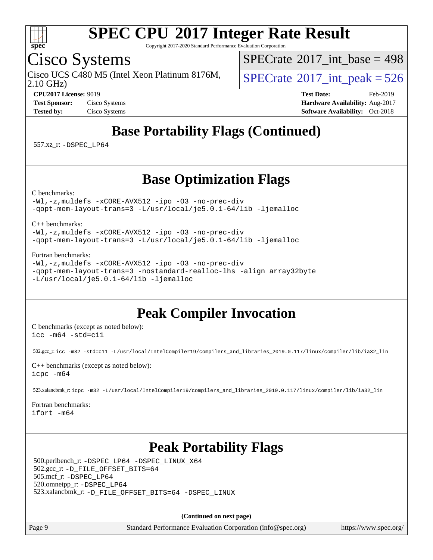

Copyright 2017-2020 Standard Performance Evaluation Corporation

## Cisco Systems

Cisco UCS C480 M5 (Intel Xeon Platinum 8176M,  $\big|$  [SPECrate](http://www.spec.org/auto/cpu2017/Docs/result-fields.html#SPECrate2017intpeak)<sup>®</sup>[2017\\_int\\_peak = 5](http://www.spec.org/auto/cpu2017/Docs/result-fields.html#SPECrate2017intpeak)26

 $SPECTate@2017_int\_base = 498$ 

2.10 GHz)

**[CPU2017 License:](http://www.spec.org/auto/cpu2017/Docs/result-fields.html#CPU2017License)** 9019 **[Test Date:](http://www.spec.org/auto/cpu2017/Docs/result-fields.html#TestDate)** Feb-2019 **[Test Sponsor:](http://www.spec.org/auto/cpu2017/Docs/result-fields.html#TestSponsor)** Cisco Systems **[Hardware Availability:](http://www.spec.org/auto/cpu2017/Docs/result-fields.html#HardwareAvailability)** Aug-2017 **[Tested by:](http://www.spec.org/auto/cpu2017/Docs/result-fields.html#Testedby)** Cisco Systems **[Software Availability:](http://www.spec.org/auto/cpu2017/Docs/result-fields.html#SoftwareAvailability)** Oct-2018

# **[Base Portability Flags \(Continued\)](http://www.spec.org/auto/cpu2017/Docs/result-fields.html#BasePortabilityFlags)**

557.xz\_r: [-DSPEC\\_LP64](http://www.spec.org/cpu2017/results/res2019q1/cpu2017-20190219-11084.flags.html#suite_basePORTABILITY557_xz_r_DSPEC_LP64)

### **[Base Optimization Flags](http://www.spec.org/auto/cpu2017/Docs/result-fields.html#BaseOptimizationFlags)**

[C benchmarks](http://www.spec.org/auto/cpu2017/Docs/result-fields.html#Cbenchmarks):

[-Wl,-z,muldefs](http://www.spec.org/cpu2017/results/res2019q1/cpu2017-20190219-11084.flags.html#user_CCbase_link_force_multiple1_b4cbdb97b34bdee9ceefcfe54f4c8ea74255f0b02a4b23e853cdb0e18eb4525ac79b5a88067c842dd0ee6996c24547a27a4b99331201badda8798ef8a743f577) [-xCORE-AVX512](http://www.spec.org/cpu2017/results/res2019q1/cpu2017-20190219-11084.flags.html#user_CCbase_f-xCORE-AVX512) [-ipo](http://www.spec.org/cpu2017/results/res2019q1/cpu2017-20190219-11084.flags.html#user_CCbase_f-ipo) [-O3](http://www.spec.org/cpu2017/results/res2019q1/cpu2017-20190219-11084.flags.html#user_CCbase_f-O3) [-no-prec-div](http://www.spec.org/cpu2017/results/res2019q1/cpu2017-20190219-11084.flags.html#user_CCbase_f-no-prec-div) [-qopt-mem-layout-trans=3](http://www.spec.org/cpu2017/results/res2019q1/cpu2017-20190219-11084.flags.html#user_CCbase_f-qopt-mem-layout-trans_de80db37974c74b1f0e20d883f0b675c88c3b01e9d123adea9b28688d64333345fb62bc4a798493513fdb68f60282f9a726aa07f478b2f7113531aecce732043) [-L/usr/local/je5.0.1-64/lib](http://www.spec.org/cpu2017/results/res2019q1/cpu2017-20190219-11084.flags.html#user_CCbase_jemalloc_link_path64_4b10a636b7bce113509b17f3bd0d6226c5fb2346b9178c2d0232c14f04ab830f976640479e5c33dc2bcbbdad86ecfb6634cbbd4418746f06f368b512fced5394) [-ljemalloc](http://www.spec.org/cpu2017/results/res2019q1/cpu2017-20190219-11084.flags.html#user_CCbase_jemalloc_link_lib_d1249b907c500fa1c0672f44f562e3d0f79738ae9e3c4a9c376d49f265a04b9c99b167ecedbf6711b3085be911c67ff61f150a17b3472be731631ba4d0471706)

[C++ benchmarks:](http://www.spec.org/auto/cpu2017/Docs/result-fields.html#CXXbenchmarks)

[-Wl,-z,muldefs](http://www.spec.org/cpu2017/results/res2019q1/cpu2017-20190219-11084.flags.html#user_CXXbase_link_force_multiple1_b4cbdb97b34bdee9ceefcfe54f4c8ea74255f0b02a4b23e853cdb0e18eb4525ac79b5a88067c842dd0ee6996c24547a27a4b99331201badda8798ef8a743f577) [-xCORE-AVX512](http://www.spec.org/cpu2017/results/res2019q1/cpu2017-20190219-11084.flags.html#user_CXXbase_f-xCORE-AVX512) [-ipo](http://www.spec.org/cpu2017/results/res2019q1/cpu2017-20190219-11084.flags.html#user_CXXbase_f-ipo) [-O3](http://www.spec.org/cpu2017/results/res2019q1/cpu2017-20190219-11084.flags.html#user_CXXbase_f-O3) [-no-prec-div](http://www.spec.org/cpu2017/results/res2019q1/cpu2017-20190219-11084.flags.html#user_CXXbase_f-no-prec-div) [-qopt-mem-layout-trans=3](http://www.spec.org/cpu2017/results/res2019q1/cpu2017-20190219-11084.flags.html#user_CXXbase_f-qopt-mem-layout-trans_de80db37974c74b1f0e20d883f0b675c88c3b01e9d123adea9b28688d64333345fb62bc4a798493513fdb68f60282f9a726aa07f478b2f7113531aecce732043) [-L/usr/local/je5.0.1-64/lib](http://www.spec.org/cpu2017/results/res2019q1/cpu2017-20190219-11084.flags.html#user_CXXbase_jemalloc_link_path64_4b10a636b7bce113509b17f3bd0d6226c5fb2346b9178c2d0232c14f04ab830f976640479e5c33dc2bcbbdad86ecfb6634cbbd4418746f06f368b512fced5394) [-ljemalloc](http://www.spec.org/cpu2017/results/res2019q1/cpu2017-20190219-11084.flags.html#user_CXXbase_jemalloc_link_lib_d1249b907c500fa1c0672f44f562e3d0f79738ae9e3c4a9c376d49f265a04b9c99b167ecedbf6711b3085be911c67ff61f150a17b3472be731631ba4d0471706)

[Fortran benchmarks](http://www.spec.org/auto/cpu2017/Docs/result-fields.html#Fortranbenchmarks):

[-Wl,-z,muldefs](http://www.spec.org/cpu2017/results/res2019q1/cpu2017-20190219-11084.flags.html#user_FCbase_link_force_multiple1_b4cbdb97b34bdee9ceefcfe54f4c8ea74255f0b02a4b23e853cdb0e18eb4525ac79b5a88067c842dd0ee6996c24547a27a4b99331201badda8798ef8a743f577) [-xCORE-AVX512](http://www.spec.org/cpu2017/results/res2019q1/cpu2017-20190219-11084.flags.html#user_FCbase_f-xCORE-AVX512) [-ipo](http://www.spec.org/cpu2017/results/res2019q1/cpu2017-20190219-11084.flags.html#user_FCbase_f-ipo) [-O3](http://www.spec.org/cpu2017/results/res2019q1/cpu2017-20190219-11084.flags.html#user_FCbase_f-O3) [-no-prec-div](http://www.spec.org/cpu2017/results/res2019q1/cpu2017-20190219-11084.flags.html#user_FCbase_f-no-prec-div) [-qopt-mem-layout-trans=3](http://www.spec.org/cpu2017/results/res2019q1/cpu2017-20190219-11084.flags.html#user_FCbase_f-qopt-mem-layout-trans_de80db37974c74b1f0e20d883f0b675c88c3b01e9d123adea9b28688d64333345fb62bc4a798493513fdb68f60282f9a726aa07f478b2f7113531aecce732043) [-nostandard-realloc-lhs](http://www.spec.org/cpu2017/results/res2019q1/cpu2017-20190219-11084.flags.html#user_FCbase_f_2003_std_realloc_82b4557e90729c0f113870c07e44d33d6f5a304b4f63d4c15d2d0f1fab99f5daaed73bdb9275d9ae411527f28b936061aa8b9c8f2d63842963b95c9dd6426b8a) [-align array32byte](http://www.spec.org/cpu2017/results/res2019q1/cpu2017-20190219-11084.flags.html#user_FCbase_align_array32byte_b982fe038af199962ba9a80c053b8342c548c85b40b8e86eb3cc33dee0d7986a4af373ac2d51c3f7cf710a18d62fdce2948f201cd044323541f22fc0fffc51b6) [-L/usr/local/je5.0.1-64/lib](http://www.spec.org/cpu2017/results/res2019q1/cpu2017-20190219-11084.flags.html#user_FCbase_jemalloc_link_path64_4b10a636b7bce113509b17f3bd0d6226c5fb2346b9178c2d0232c14f04ab830f976640479e5c33dc2bcbbdad86ecfb6634cbbd4418746f06f368b512fced5394) [-ljemalloc](http://www.spec.org/cpu2017/results/res2019q1/cpu2017-20190219-11084.flags.html#user_FCbase_jemalloc_link_lib_d1249b907c500fa1c0672f44f562e3d0f79738ae9e3c4a9c376d49f265a04b9c99b167ecedbf6711b3085be911c67ff61f150a17b3472be731631ba4d0471706)

### **[Peak Compiler Invocation](http://www.spec.org/auto/cpu2017/Docs/result-fields.html#PeakCompilerInvocation)**

[C benchmarks \(except as noted below\)](http://www.spec.org/auto/cpu2017/Docs/result-fields.html#Cbenchmarksexceptasnotedbelow): [icc -m64 -std=c11](http://www.spec.org/cpu2017/results/res2019q1/cpu2017-20190219-11084.flags.html#user_CCpeak_intel_icc_64bit_c11_33ee0cdaae7deeeab2a9725423ba97205ce30f63b9926c2519791662299b76a0318f32ddfffdc46587804de3178b4f9328c46fa7c2b0cd779d7a61945c91cd35)

502.gcc\_r: [icc -m32 -std=c11 -L/usr/local/IntelCompiler19/compilers\\_and\\_libraries\\_2019.0.117/linux/compiler/lib/ia32\\_lin](http://www.spec.org/cpu2017/results/res2019q1/cpu2017-20190219-11084.flags.html#user_peakCCLD502_gcc_r_intel_icc_63c3d9599230e1e2db844bd51b45094cc732b9df4bed4fa32809c670b169073e524bfce57d3c3a273766c42c2349de68e6dcd304997d513ea27071223f209830)

[C++ benchmarks \(except as noted below\)](http://www.spec.org/auto/cpu2017/Docs/result-fields.html#CXXbenchmarksexceptasnotedbelow): [icpc -m64](http://www.spec.org/cpu2017/results/res2019q1/cpu2017-20190219-11084.flags.html#user_CXXpeak_intel_icpc_64bit_4ecb2543ae3f1412ef961e0650ca070fec7b7afdcd6ed48761b84423119d1bf6bdf5cad15b44d48e7256388bc77273b966e5eb805aefd121eb22e9299b2ec9d9)

523.xalancbmk\_r: [icpc -m32 -L/usr/local/IntelCompiler19/compilers\\_and\\_libraries\\_2019.0.117/linux/compiler/lib/ia32\\_lin](http://www.spec.org/cpu2017/results/res2019q1/cpu2017-20190219-11084.flags.html#user_peakCXXLD523_xalancbmk_r_intel_icpc_1c4db3821b02bc135164aa862e733c58828536d5dcd3aa7416361d5db430924c4b4888847e5093176b6da3f0972d8092af2a2b40b4583f379bc97c0b930dd727)

[Fortran benchmarks](http://www.spec.org/auto/cpu2017/Docs/result-fields.html#Fortranbenchmarks): [ifort -m64](http://www.spec.org/cpu2017/results/res2019q1/cpu2017-20190219-11084.flags.html#user_FCpeak_intel_ifort_64bit_24f2bb282fbaeffd6157abe4f878425411749daecae9a33200eee2bee2fe76f3b89351d69a8130dd5949958ce389cf37ff59a95e7a40d588e8d3a57e0c3fd751)

## **[Peak Portability Flags](http://www.spec.org/auto/cpu2017/Docs/result-fields.html#PeakPortabilityFlags)**

 500.perlbench\_r: [-DSPEC\\_LP64](http://www.spec.org/cpu2017/results/res2019q1/cpu2017-20190219-11084.flags.html#b500.perlbench_r_peakPORTABILITY_DSPEC_LP64) [-DSPEC\\_LINUX\\_X64](http://www.spec.org/cpu2017/results/res2019q1/cpu2017-20190219-11084.flags.html#b500.perlbench_r_peakCPORTABILITY_DSPEC_LINUX_X64) 502.gcc\_r: [-D\\_FILE\\_OFFSET\\_BITS=64](http://www.spec.org/cpu2017/results/res2019q1/cpu2017-20190219-11084.flags.html#user_peakPORTABILITY502_gcc_r_file_offset_bits_64_5ae949a99b284ddf4e95728d47cb0843d81b2eb0e18bdfe74bbf0f61d0b064f4bda2f10ea5eb90e1dcab0e84dbc592acfc5018bc955c18609f94ddb8d550002c) 505.mcf\_r: [-DSPEC\\_LP64](http://www.spec.org/cpu2017/results/res2019q1/cpu2017-20190219-11084.flags.html#suite_peakPORTABILITY505_mcf_r_DSPEC_LP64) 520.omnetpp\_r: [-DSPEC\\_LP64](http://www.spec.org/cpu2017/results/res2019q1/cpu2017-20190219-11084.flags.html#suite_peakPORTABILITY520_omnetpp_r_DSPEC_LP64) 523.xalancbmk\_r: [-D\\_FILE\\_OFFSET\\_BITS=64](http://www.spec.org/cpu2017/results/res2019q1/cpu2017-20190219-11084.flags.html#user_peakPORTABILITY523_xalancbmk_r_file_offset_bits_64_5ae949a99b284ddf4e95728d47cb0843d81b2eb0e18bdfe74bbf0f61d0b064f4bda2f10ea5eb90e1dcab0e84dbc592acfc5018bc955c18609f94ddb8d550002c) [-DSPEC\\_LINUX](http://www.spec.org/cpu2017/results/res2019q1/cpu2017-20190219-11084.flags.html#b523.xalancbmk_r_peakCXXPORTABILITY_DSPEC_LINUX)

**(Continued on next page)**

Page 9 Standard Performance Evaluation Corporation [\(info@spec.org\)](mailto:info@spec.org) <https://www.spec.org/>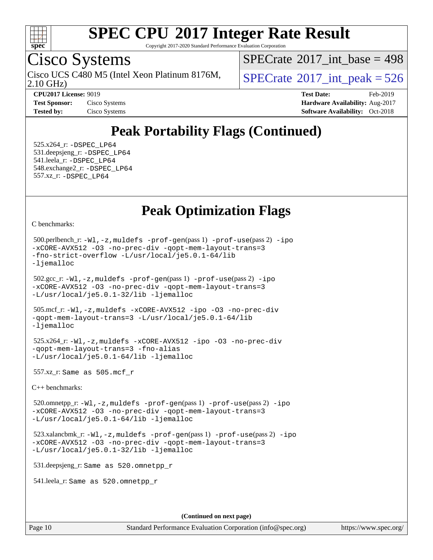

Copyright 2017-2020 Standard Performance Evaluation Corporation

# Cisco Systems

2.10 GHz) Cisco UCS C480 M5 (Intel Xeon Platinum 8176M,  $\big|$  [SPECrate](http://www.spec.org/auto/cpu2017/Docs/result-fields.html#SPECrate2017intpeak)<sup>®</sup>[2017\\_int\\_peak = 5](http://www.spec.org/auto/cpu2017/Docs/result-fields.html#SPECrate2017intpeak)26

 $SPECTate$ <sup>®</sup>[2017\\_int\\_base =](http://www.spec.org/auto/cpu2017/Docs/result-fields.html#SPECrate2017intbase) 498

**[CPU2017 License:](http://www.spec.org/auto/cpu2017/Docs/result-fields.html#CPU2017License)** 9019 **[Test Date:](http://www.spec.org/auto/cpu2017/Docs/result-fields.html#TestDate)** Feb-2019 **[Test Sponsor:](http://www.spec.org/auto/cpu2017/Docs/result-fields.html#TestSponsor)** Cisco Systems **Cisco Systems [Hardware Availability:](http://www.spec.org/auto/cpu2017/Docs/result-fields.html#HardwareAvailability)** Aug-2017 **[Tested by:](http://www.spec.org/auto/cpu2017/Docs/result-fields.html#Testedby)** Cisco Systems **[Software Availability:](http://www.spec.org/auto/cpu2017/Docs/result-fields.html#SoftwareAvailability)** Oct-2018

## **[Peak Portability Flags \(Continued\)](http://www.spec.org/auto/cpu2017/Docs/result-fields.html#PeakPortabilityFlags)**

 525.x264\_r: [-DSPEC\\_LP64](http://www.spec.org/cpu2017/results/res2019q1/cpu2017-20190219-11084.flags.html#suite_peakPORTABILITY525_x264_r_DSPEC_LP64) 531.deepsjeng\_r: [-DSPEC\\_LP64](http://www.spec.org/cpu2017/results/res2019q1/cpu2017-20190219-11084.flags.html#suite_peakPORTABILITY531_deepsjeng_r_DSPEC_LP64) 541.leela\_r: [-DSPEC\\_LP64](http://www.spec.org/cpu2017/results/res2019q1/cpu2017-20190219-11084.flags.html#suite_peakPORTABILITY541_leela_r_DSPEC_LP64) 548.exchange2\_r: [-DSPEC\\_LP64](http://www.spec.org/cpu2017/results/res2019q1/cpu2017-20190219-11084.flags.html#suite_peakPORTABILITY548_exchange2_r_DSPEC_LP64) 557.xz\_r: [-DSPEC\\_LP64](http://www.spec.org/cpu2017/results/res2019q1/cpu2017-20190219-11084.flags.html#suite_peakPORTABILITY557_xz_r_DSPEC_LP64)

### **[Peak Optimization Flags](http://www.spec.org/auto/cpu2017/Docs/result-fields.html#PeakOptimizationFlags)**

[C benchmarks](http://www.spec.org/auto/cpu2017/Docs/result-fields.html#Cbenchmarks):

```
 500.perlbench_r: -Wl,-z,muldefs -prof-gen(pass 1) -prof-use(pass 2) -ipo
-xCORE-AVX512 -O3 -no-prec-div -qopt-mem-layout-trans=3
-fno-strict-overflow -L/usr/local/je5.0.1-64/lib
-ljemalloc
 502.gcc_r: -Wl,-z,muldefs -prof-gen(pass 1) -prof-use(pass 2) -ipo
-xCORE-AVX512 -O3 -no-prec-div -qopt-mem-layout-trans=3
-L/usr/local/je5.0.1-32/lib -ljemalloc
 505.mcf_r: -Wl,-z,muldefs -xCORE-AVX512 -ipo -O3 -no-prec-div
-qopt-mem-layout-trans=3 -L/usr/local/je5.0.1-64/lib
-ljemalloc
 525.x264_r: -Wl,-z,muldefs -xCORE-AVX512 -ipo -O3 -no-prec-div
-qopt-mem-layout-trans=3 -fno-alias
-L/usr/local/je5.0.1-64/lib -ljemalloc
 557.xz_r: Same as 505.mcf_r
C++ benchmarks: 
 520.omnetpp_r: -Wl,-z,muldefs -prof-gen(pass 1) -prof-use(pass 2) -ipo
-xCORE-AVX512 -O3 -no-prec-div -qopt-mem-layout-trans=3
-L/usr/local/je5.0.1-64/lib -ljemalloc
523.xalancbmk_r: -W1, -z, muldefs -prof-qen(pass 1) -prof-use-ipo-xCORE-AVX512 -O3 -no-prec-div -qopt-mem-layout-trans=3
-L/usr/local/je5.0.1-32/lib -ljemalloc
 531.deepsjeng_r: Same as 520.omnetpp_r
 541.leela_r: Same as 520.omnetpp_r
                                      (Continued on next page)
```